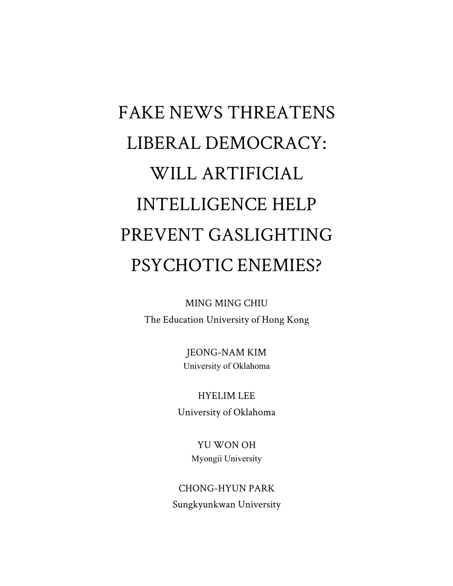# FAKE NEWS THREATENS LIBERAL DEMOCRACY: WILL ARTIFICIAL INTELLIGENCE HELP PREVENT GASLIGHTING PSYCHOTIC ENEMIES?

MING MING CHIU The Education University of Hong Kong

> JEONG-NAM KIM University of Oklahoma

HYELIM LEE

University of Oklahoma

YU WON OH Myongii University

CHONG-HYUN PARK Sungkyunkwan University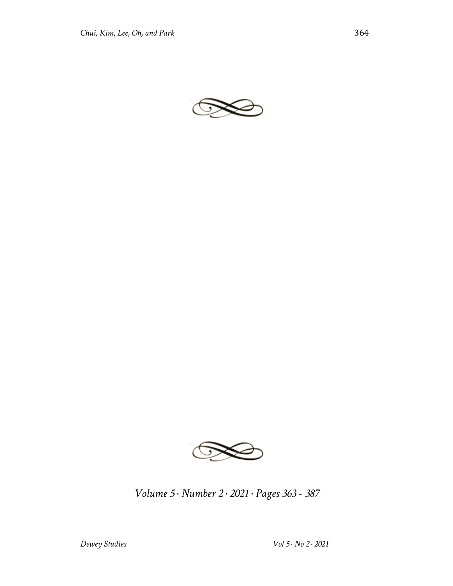



*Volume 5 · Number 2 · 2021 · Pages 363 - 387*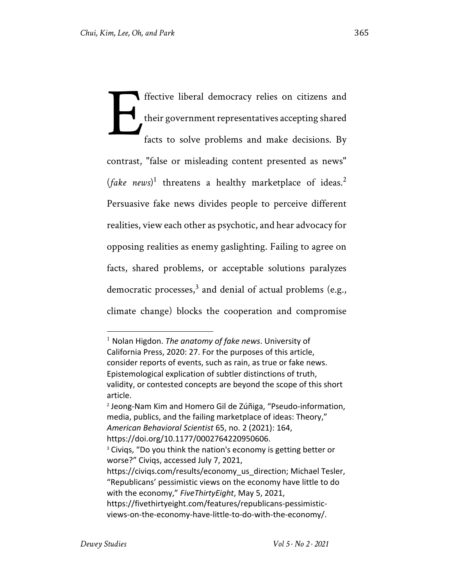ffective liberal democracy relies on citizens and their government representatives accepting shared facts to solve problems and make decisions. By contrast, "false or misleading content presented as news" (*fake news*)<sup>1</sup> threatens a healthy marketplace of ideas.<sup>2</sup> Persuasive fake news divides people to perceive different realities, view each other as psychotic, and hear advocacy for opposing realities as enemy gaslighting. Failing to agree on facts, shared problems, or acceptable solutions paralyzes democratic processes,<sup>3</sup> and denial of actual problems (e.g., climate change) blocks the cooperation and compromise E

<sup>1</sup> Nolan Higdon. *The anatomy of fake news*. University of California Press, 2020: 27. For the purposes of this article, consider reports of events, such as rain, as true or fake news. Epistemological explication of subtler distinctions of truth, validity, or contested concepts are beyond the scope of this short article.

<sup>2</sup> Jeong-Nam Kim and Homero Gil de Zúñiga, "Pseudo-information, media, publics, and the failing marketplace of ideas: Theory," *American Behavioral Scientist* 65, no. 2 (2021): 164, https://doi.org/10.1177/0002764220950606.

<sup>&</sup>lt;sup>3</sup> Civiqs, "Do you think the nation's economy is getting better or worse?" Civiqs, accessed July 7, 2021,

https://civiqs.com/results/economy\_us\_direction; Michael Tesler, "Republicans' pessimistic views on the economy have little to do with the economy," *FiveThirtyEight*, May 5, 2021,

https://fivethirtyeight.com/features/republicans-pessimisticviews-on-the-economy-have-little-to-do-with-the-economy/.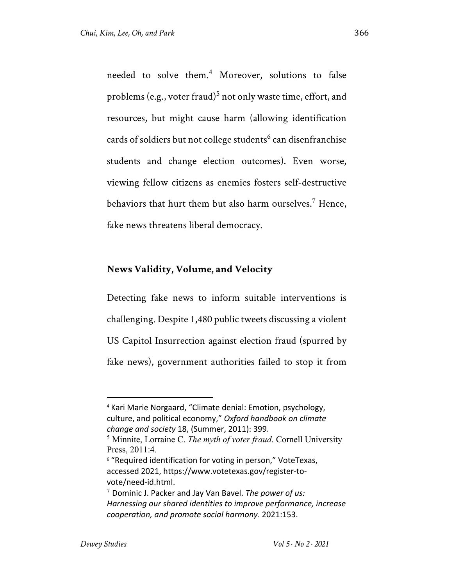needed to solve them.<sup>4</sup> Moreover, solutions to false problems (e.g., voter fraud)<sup>5</sup> not only waste time, effort, and resources, but might cause harm (allowing identification cards of soldiers but not college students<sup>6</sup> can disenfranchise students and change election outcomes). Even worse, viewing fellow citizens as enemies fosters self-destructive behaviors that hurt them but also harm ourselves.<sup>7</sup> Hence, fake news threatens liberal democracy.

#### **News Validity, Volume, and Velocity**

Detecting fake news to inform suitable interventions is challenging. Despite 1,480 public tweets discussing a violent US Capitol Insurrection against election fraud (spurred by fake news), government authorities failed to stop it from

<sup>4</sup> Kari Marie Norgaard, "Climate denial: Emotion, psychology, culture, and political economy," *Oxford handbook on climate change and society* 18, (Summer, 2011): 399.

<sup>5</sup> Minnite, Lorraine C. *The myth of voter fraud*. Cornell University Press, 2011:4.

<sup>&</sup>lt;sup>6</sup> "Required identification for voting in person," VoteTexas, accessed 2021, https://www.votetexas.gov/register-tovote/need-id.html.

<sup>7</sup> Dominic J. Packer and Jay Van Bavel. *The power of us: Harnessing our shared identities to improve performance, increase cooperation, and promote social harmony*. 2021:153.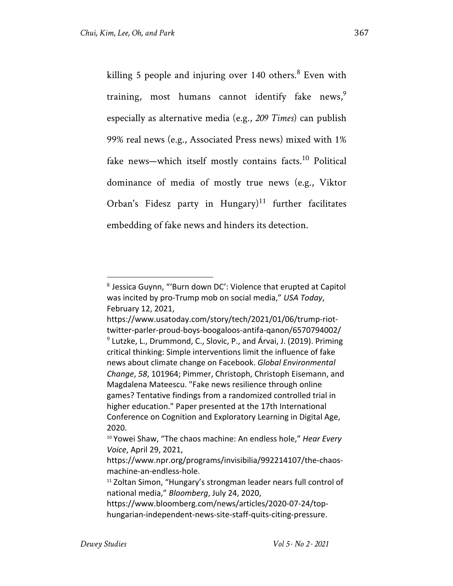killing 5 people and injuring over  $140$  others.<sup>8</sup> Even with training, most humans cannot identify fake news,<sup>9</sup> especially as alternative media (e.g., *209 Times*) can publish 99% real news (e.g., Associated Press news) mixed with 1% fake news—which itself mostly contains facts.<sup>10</sup> Political dominance of media of mostly true news (e.g., Viktor Orban's Fidesz party in Hungary)<sup>11</sup> further facilitates embedding of fake news and hinders its detection.

 $8$  Jessica Guynn, "'Burn down DC': Violence that erupted at Capitol was incited by pro-Trump mob on social media," *USA Today*, February 12, 2021,

https://www.usatoday.com/story/tech/2021/01/06/trump-riottwitter-parler-proud-boys-boogaloos-antifa-qanon/6570794002/  $9$  Lutzke, L., Drummond, C., Slovic, P., and Árvai, J. (2019). Priming critical thinking: Simple interventions limit the influence of fake news about climate change on Facebook. *Global Environmental Change*, *58*, 101964; Pimmer, Christoph, Christoph Eisemann, and Magdalena Mateescu. "Fake news resilience through online games? Tentative findings from a randomized controlled trial in higher education." Paper presented at the 17th International Conference on Cognition and Exploratory Learning in Digital Age, 2020.

<sup>10</sup> Yowei Shaw, "The chaos machine: An endless hole," *Hear Every Voice*, April 29, 2021,

https://www.npr.org/programs/invisibilia/992214107/the-chaosmachine-an-endless-hole.

<sup>&</sup>lt;sup>11</sup> Zoltan Simon, "Hungary's strongman leader nears full control of national media," *Bloomberg*, July 24, 2020,

https://www.bloomberg.com/news/articles/2020-07-24/tophungarian-independent-news-site-staff-quits-citing-pressure.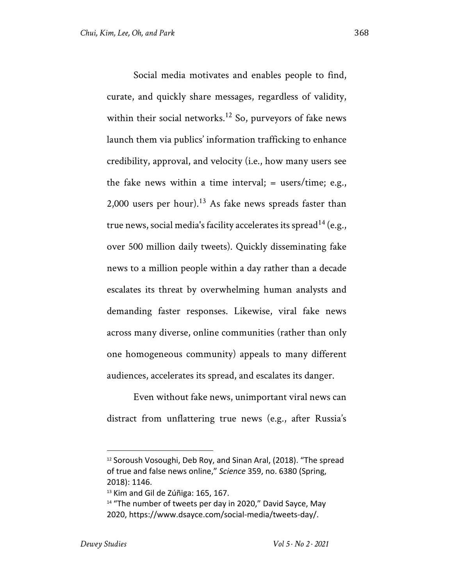Social media motivates and enables people to find, curate, and quickly share messages, regardless of validity, within their social networks.<sup>12</sup> So, purveyors of fake news launch them via publics' information trafficking to enhance credibility, approval, and velocity (i.e., how many users see the fake news within a time interval;  $=$  users/time; e.g., 2,000 users per hour).<sup>13</sup> As fake news spreads faster than true news, social media's facility accelerates its spread<sup>14</sup> (e.g., over 500 million daily tweets). Quickly disseminating fake news to a million people within a day rather than a decade escalates its threat by overwhelming human analysts and demanding faster responses. Likewise, viral fake news across many diverse, online communities (rather than only one homogeneous community) appeals to many different audiences, accelerates its spread, and escalates its danger.

Even without fake news, unimportant viral news can distract from unflattering true news (e.g., after Russia's

<sup>&</sup>lt;sup>12</sup> Soroush Vosoughi, Deb Roy, and Sinan Aral, (2018). "The spread of true and false news online," *Science* 359, no. 6380 (Spring, 2018): 1146.

<sup>&</sup>lt;sup>13</sup> Kim and Gil de Zúñiga: 165, 167.

<sup>&</sup>lt;sup>14</sup> "The number of tweets per day in 2020," David Sayce, May 2020, https://www.dsayce.com/social-media/tweets-day/.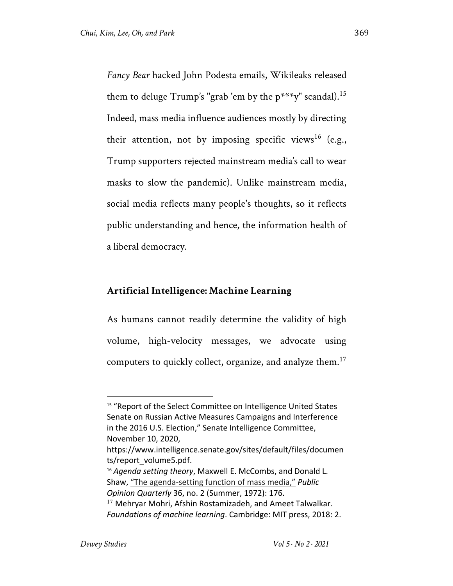*Fancy Bear* hacked John Podesta emails, Wikileaks released them to deluge Trump's "grab 'em by the  $p^{***}y$ " scandal).<sup>15</sup> Indeed, mass media influence audiences mostly by directing their attention, not by imposing specific views<sup>16</sup> (e.g., Trump supporters rejected mainstream media's call to wear masks to slow the pandemic). Unlike mainstream media, social media reflects many people's thoughts, so it reflects public understanding and hence, the information health of a liberal democracy.

#### **Artificial Intelligence: Machine Learning**

As humans cannot readily determine the validity of high volume, high-velocity messages, we advocate using computers to quickly collect, organize, and analyze them.<sup>17</sup>

*Opinion Quarterly* 36, no. 2 (Summer, 1972): 176.

<sup>&</sup>lt;sup>15</sup> "Report of the Select Committee on Intelligence United States Senate on Russian Active Measures Campaigns and Interference in the 2016 U.S. Election," Senate Intelligence Committee, November 10, 2020,

https://www.intelligence.senate.gov/sites/default/files/documen ts/report\_volume5.pdf.

<sup>16</sup> *Agenda setting theory*, Maxwell E. McCombs, and Donald L. Shaw, "The agenda-setting function of mass media," *Public* 

 $17$  Mehryar Mohri, Afshin Rostamizadeh, and Ameet Talwalkar. *Foundations of machine learning*. Cambridge: MIT press, 2018: 2.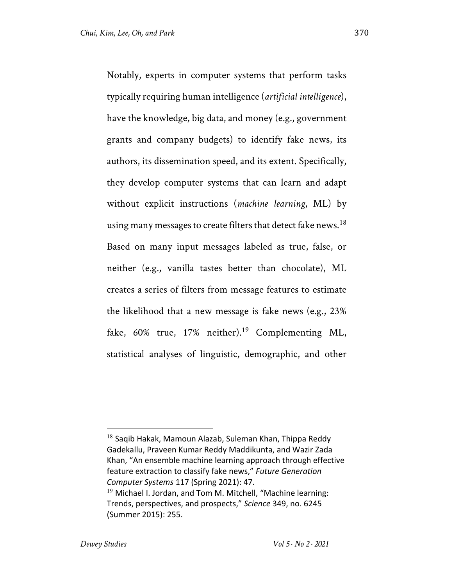Notably, experts in computer systems that perform tasks typically requiring human intelligence (*artificial intelligence*), have the knowledge, big data, and money (e.g., government grants and company budgets) to identify fake news, its authors, its dissemination speed, and its extent. Specifically, they develop computer systems that can learn and adapt without explicit instructions (*machine learning*, ML) by using many messages to create filters that detect fake news.<sup>18</sup> Based on many input messages labeled as true, false, or neither (e.g., vanilla tastes better than chocolate), ML creates a series of filters from message features to estimate the likelihood that a new message is fake news (e.g., 23% fake,  $60\%$  true,  $17\%$  neither).<sup>19</sup> Complementing ML, statistical analyses of linguistic, demographic, and other

 $18$  Saqib Hakak, Mamoun Alazab, Suleman Khan, Thippa Reddy Gadekallu, Praveen Kumar Reddy Maddikunta, and Wazir Zada Khan, "An ensemble machine learning approach through effective feature extraction to classify fake news," *Future Generation Computer Systems* 117 (Spring 2021): 47.  $19$  Michael I. Jordan, and Tom M. Mitchell, "Machine learning:

Trends, perspectives, and prospects," *Science* 349, no. 6245 (Summer 2015): 255.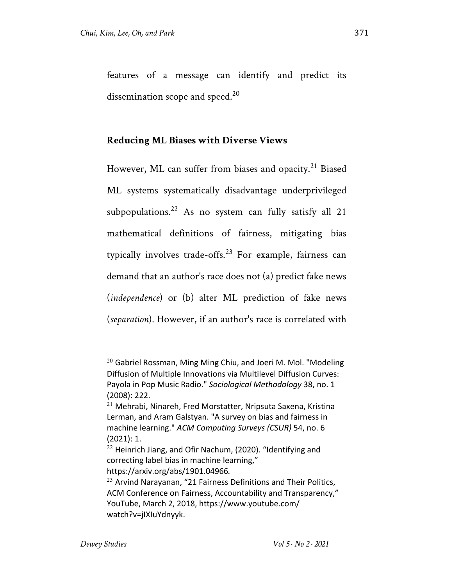features of a message can identify and predict its dissemination scope and speed. $20$ 

# **Reducing ML Biases with Diverse Views**

However, ML can suffer from biases and opacity.<sup>21</sup> Biased ML systems systematically disadvantage underprivileged subpopulations.<sup>22</sup> As no system can fully satisfy all 21 mathematical definitions of fairness, mitigating bias typically involves trade-offs.<sup>23</sup> For example, fairness can demand that an author's race does not (a) predict fake news (*independence*) or (b) alter ML prediction of fake news (*separation*). However, if an author's race is correlated with

 $20$  Gabriel Rossman, Ming Ming Chiu, and Joeri M. Mol. "Modeling Diffusion of Multiple Innovations via Multilevel Diffusion Curves: Payola in Pop Music Radio." *Sociological Methodology* 38, no. 1 (2008): 222.

<sup>21</sup> Mehrabi, Ninareh, Fred Morstatter, Nripsuta Saxena, Kristina Lerman, and Aram Galstyan. "A survey on bias and fairness in machine learning." *ACM Computing Surveys (CSUR)* 54, no. 6 (2021): 1.

<sup>&</sup>lt;sup>22</sup> Heinrich Jiang, and Ofir Nachum, (2020). "Identifying and correcting label bias in machine learning," https://arxiv.org/abs/1901.04966*.*

 $23$  Arvind Narayanan, "21 Fairness Definitions and Their Politics, ACM Conference on Fairness, Accountability and Transparency," YouTube, March 2, 2018, https://www.youtube.com/ watch?v=jIXIuYdnyyk.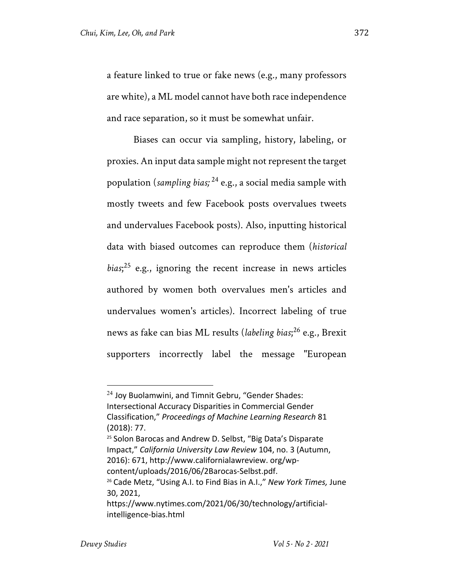a feature linked to true or fake news (e.g., many professors are white), a ML model cannot have both race independence and race separation, so it must be somewhat unfair.

Biases can occur via sampling, history, labeling, or proxies. An input data sample might not represent the target population (*sampling bias;* <sup>24</sup> e.g., a social media sample with mostly tweets and few Facebook posts overvalues tweets and undervalues Facebook posts). Also, inputting historical data with biased outcomes can reproduce them (*historical bias*; <sup>25</sup> e.g., ignoring the recent increase in news articles authored by women both overvalues men's articles and undervalues women's articles). Incorrect labeling of true news as fake can bias ML results (*labeling bias*; <sup>26</sup> e.g., Brexit supporters incorrectly label the message "European

<sup>24</sup> Joy Buolamwini, and Timnit Gebru, "Gender Shades: Intersectional Accuracy Disparities in Commercial Gender Classification," *Proceedings of Machine Learning Research* 81 (2018): 77.

<sup>&</sup>lt;sup>25</sup> Solon Barocas and Andrew D. Selbst, "Big Data's Disparate Impact," *California University Law Review* 104, no. 3 (Autumn, 2016): 671, http://www.californialawreview. org/wpcontent/uploads/2016/06/2Barocas-Selbst.pdf.

<sup>26</sup> Cade Metz, "Using A.I. to Find Bias in A.I.," *New York Times,* June 30, 2021,

https://www.nytimes.com/2021/06/30/technology/artificialintelligence-bias.html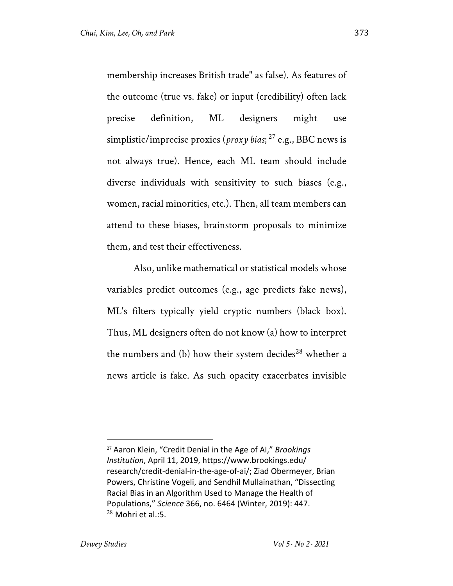membership increases British trade" as false). As features of the outcome (true vs. fake) or input (credibility) often lack precise definition, ML designers might use simplistic/imprecise proxies (*proxy bias*; <sup>27</sup> e.g., BBC news is not always true). Hence, each ML team should include diverse individuals with sensitivity to such biases (e.g., women, racial minorities, etc.). Then, all team members can attend to these biases, brainstorm proposals to minimize them, and test their effectiveness.

Also, unlike mathematical or statistical models whose variables predict outcomes (e.g., age predicts fake news), ML's filters typically yield cryptic numbers (black box). Thus, ML designers often do not know (a) how to interpret the numbers and (b) how their system decides<sup>28</sup> whether a news article is fake. As such opacity exacerbates invisible

<sup>27</sup> Aaron Klein, "Credit Denial in the Age of AI," *Brookings Institution*, April 11, 2019, https://www.brookings.edu/ research/credit-denial-in-the-age-of-ai/; Ziad Obermeyer, Brian Powers, Christine Vogeli, and Sendhil Mullainathan, "Dissecting Racial Bias in an Algorithm Used to Manage the Health of Populations," *Science* 366, no. 6464 (Winter, 2019): 447.  $28$  Mohri et al.:5.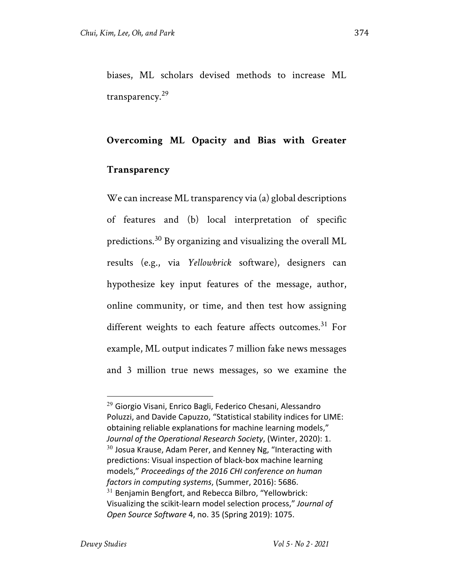biases, ML scholars devised methods to increase ML transparency.<sup>29</sup>

#### **Overcoming ML Opacity and Bias with Greater**

#### **Transparency**

We can increase ML transparency via (a) global descriptions of features and (b) local interpretation of specific predictions.<sup>30</sup> By organizing and visualizing the overall ML results (e.g., via *Yellowbrick* software), designers can hypothesize key input features of the message, author, online community, or time, and then test how assigning different weights to each feature affects outcomes.<sup>31</sup> For example, ML output indicates 7 million fake news messages and 3 million true news messages, so we examine the

<sup>&</sup>lt;sup>29</sup> Giorgio Visani, Enrico Bagli, Federico Chesani, Alessandro Poluzzi, and Davide Capuzzo, "Statistical stability indices for LIME: obtaining reliable explanations for machine learning models," *Journal of the Operational Research Society*, (Winter, 2020): 1.  $30$  Josua Krause, Adam Perer, and Kenney Ng, "Interacting with predictions: Visual inspection of black-box machine learning models," *Proceedings of the 2016 CHI conference on human factors in computing systems*, (Summer, 2016): 5686.  $31$  Benjamin Bengfort, and Rebecca Bilbro, "Yellowbrick: Visualizing the scikit-learn model selection process," *Journal of Open Source Software* 4, no. 35 (Spring 2019): 1075.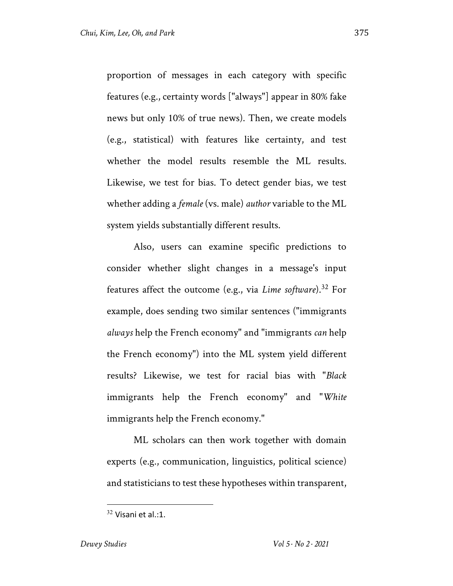proportion of messages in each category with specific features (e.g., certainty words ["always"] appear in 80% fake news but only 10% of true news). Then, we create models (e.g., statistical) with features like certainty, and test whether the model results resemble the ML results. Likewise, we test for bias. To detect gender bias, we test whether adding a *female* (vs. male) *author* variable to the ML system yields substantially different results.

Also, users can examine specific predictions to consider whether slight changes in a message's input features affect the outcome (e.g., via *Lime software*).<sup>32</sup> For example, does sending two similar sentences ("immigrants *always* help the French economy" and "immigrants *can* help the French economy") into the ML system yield different results? Likewise, we test for racial bias with "*Black* immigrants help the French economy" and "*White* immigrants help the French economy."

ML scholars can then work together with domain experts (e.g., communication, linguistics, political science) and statisticians to test these hypotheses within transparent,

 $32$  Visani et al.:1.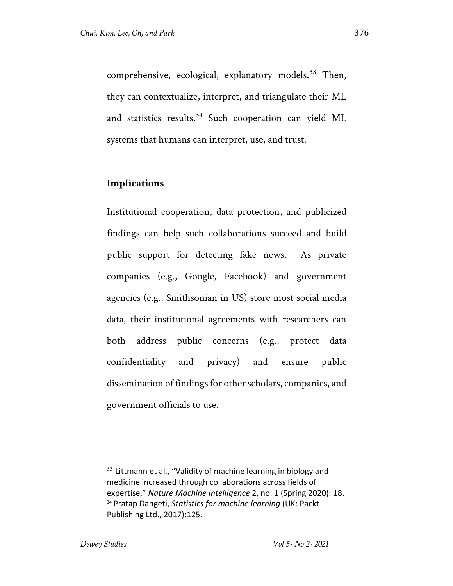comprehensive, ecological, explanatory models. $33$  Then, they can contextualize, interpret, and triangulate their ML and statistics results.<sup>34</sup> Such cooperation can yield ML systems that humans can interpret, use, and trust.

## **Implications**

Institutional cooperation, data protection, and publicized findings can help such collaborations succeed and build public support for detecting fake news. As private companies (e.g., Google, Facebook) and government agencies (e.g., Smithsonian in US) store most social media data, their institutional agreements with researchers can both address public concerns (e.g., protect data confidentiality and privacy) and ensure public dissemination of findings for other scholars, companies, and government officials to use.

 $33$  Littmann et al., "Validity of machine learning in biology and medicine increased through collaborations across fields of expertise," *Nature Machine Intelligence* 2, no. 1 (Spring 2020): 18. <sup>34</sup> Pratap Dangeti, *Statistics for machine learning* (UK: Packt Publishing Ltd., 2017):125.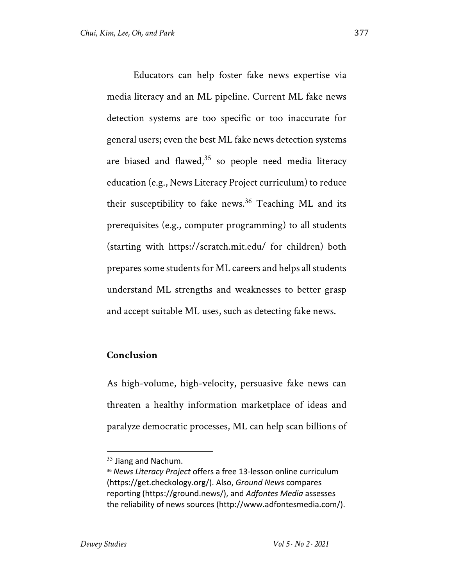Educators can help foster fake news expertise via media literacy and an ML pipeline. Current ML fake news detection systems are too specific or too inaccurate for general users; even the best ML fake news detection systems are biased and flawed, $35$  so people need media literacy education (e.g., News Literacy Project curriculum) to reduce their susceptibility to fake news.<sup>36</sup> Teaching ML and its prerequisites (e.g., computer programming) to all students (starting with https://scratch.mit.edu/ for children) both prepares some students for ML careers and helps all students understand ML strengths and weaknesses to better grasp and accept suitable ML uses, such as detecting fake news.

## **Conclusion**

As high-volume, high-velocity, persuasive fake news can threaten a healthy information marketplace of ideas and paralyze democratic processes, ML can help scan billions of

 $35$  Jiang and Nachum.

<sup>36</sup> *News Literacy Project* offers a free 13-lesson online curriculum (https://get.checkology.org/). Also, *Ground News* compares reporting (https://ground.news/), and *Adfontes Media* assesses the reliability of news sources (http://www.adfontesmedia.com/).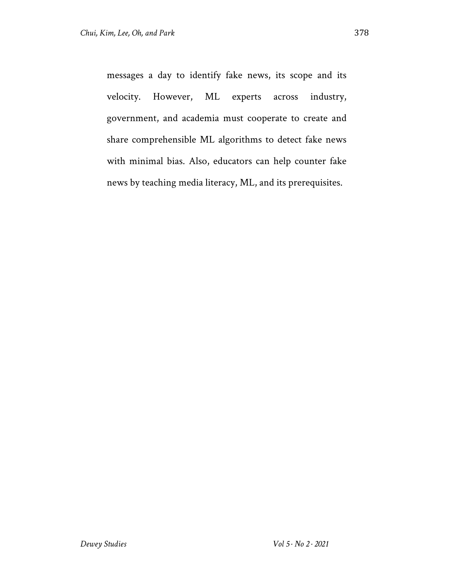messages a day to identify fake news, its scope and its velocity. However, ML experts across industry, government, and academia must cooperate to create and share comprehensible ML algorithms to detect fake news with minimal bias. Also, educators can help counter fake news by teaching media literacy, ML, and its prerequisites.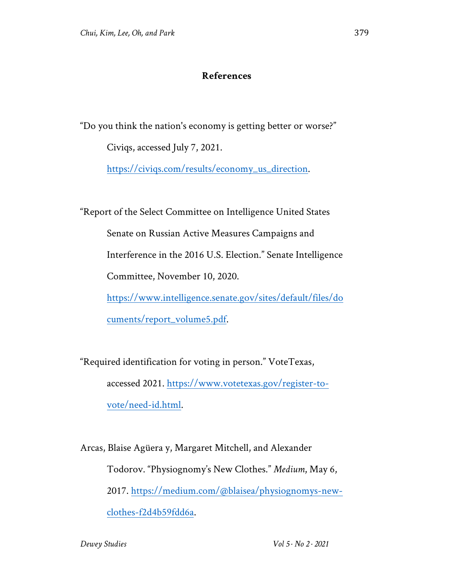# **References**

"Do you think the nation's economy is getting better or worse?" Civiqs, accessed July 7, 2021.

https://civiqs.com/results/economy\_us\_direction.

"Report of the Select Committee on Intelligence United States

Senate on Russian Active Measures Campaigns and

Interference in the 2016 U.S. Election." Senate Intelligence

Committee, November 10, 2020.

https://www.intelligence.senate.gov/sites/default/files/do

cuments/report\_volume5.pdf.

"Required identification for voting in person." VoteTexas, accessed 2021. https://www.votetexas.gov/register-tovote/need-id.html.

Arcas, Blaise Agüera y, Margaret Mitchell, and Alexander Todorov. "Physiognomy's New Clothes." *Medium*, May 6, 2017. https://medium.com/@blaisea/physiognomys-newclothes-f2d4b59fdd6a.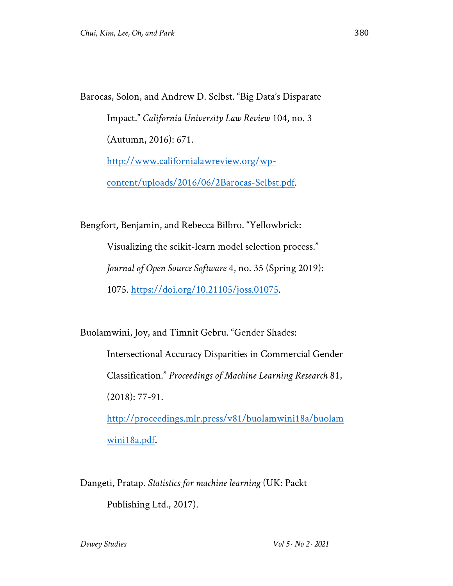Barocas, Solon, and Andrew D. Selbst. "Big Data's Disparate Impact." *California University Law Review* 104, no. 3 (Autumn, 2016): 671. http://www.californialawreview.org/wpcontent/uploads/2016/06/2Barocas-Selbst.pdf.

Bengfort, Benjamin, and Rebecca Bilbro. "Yellowbrick: Visualizing the scikit-learn model selection process." *Journal of Open Source Software* 4, no. 35 (Spring 2019): 1075. https://doi.org/10.21105/joss.01075.

Buolamwini, Joy, and Timnit Gebru. "Gender Shades: Intersectional Accuracy Disparities in Commercial Gender Classification." *Proceedings of Machine Learning Research* 81, (2018): 77-91. http://proceedings.mlr.press/v81/buolamwini18a/buolam wini18a.pdf.

Dangeti, Pratap. *Statistics for machine learning* (UK: Packt Publishing Ltd., 2017).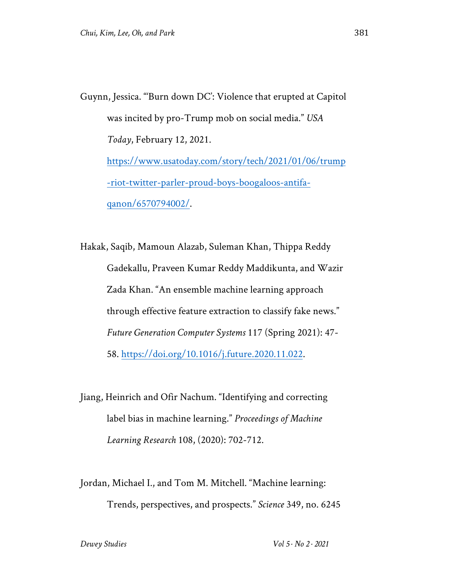Guynn, Jessica. "'Burn down DC': Violence that erupted at Capitol was incited by pro-Trump mob on social media." *USA Today*, February 12, 2021. https://www.usatoday.com/story/tech/2021/01/06/trump -riot-twitter-parler-proud-boys-boogaloos-antifaqanon/6570794002/.

Hakak, Saqib, Mamoun Alazab, Suleman Khan, Thippa Reddy Gadekallu, Praveen Kumar Reddy Maddikunta, and Wazir Zada Khan. "An ensemble machine learning approach through effective feature extraction to classify fake news." *Future Generation Computer Systems* 117 (Spring 2021): 47- 58. https://doi.org/10.1016/j.future.2020.11.022.

Jiang, Heinrich and Ofir Nachum. "Identifying and correcting label bias in machine learning." *Proceedings of Machine Learning Research* 108, (2020): 702-712.

Jordan, Michael I., and Tom M. Mitchell. "Machine learning: Trends, perspectives, and prospects." *Science* 349, no. 6245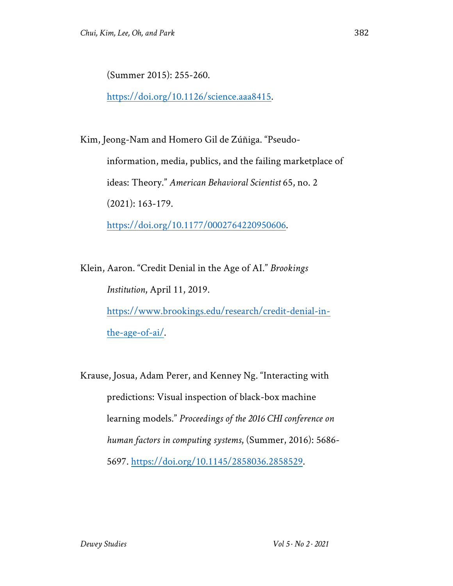(Summer 2015): 255-260.

https://doi.org/10.1126/science.aaa8415.

Kim, Jeong-Nam and Homero Gil de Zúñiga. "Pseudoinformation, media, publics, and the failing marketplace of ideas: Theory." *American Behavioral Scientist* 65, no. 2 (2021): 163-179. https://doi.org/10.1177/0002764220950606.

Klein, Aaron. "Credit Denial in the Age of AI." *Brookings Institution*, April 11, 2019. https://www.brookings.edu/research/credit-denial-inthe-age-of-ai/.

Krause, Josua, Adam Perer, and Kenney Ng. "Interacting with predictions: Visual inspection of black-box machine learning models." *Proceedings of the 2016 CHI conference on human factors in computing systems*, (Summer, 2016): 5686- 5697. https://doi.org/10.1145/2858036.2858529.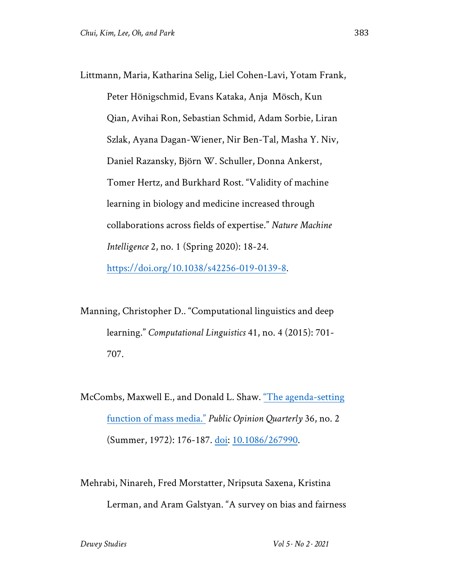Littmann, Maria, Katharina Selig, Liel Cohen-Lavi, Yotam Frank, Peter Hönigschmid, Evans Kataka, Anja Mösch, Kun Qian, Avihai Ron, Sebastian Schmid, Adam Sorbie, Liran Szlak, Ayana Dagan-Wiener, Nir Ben-Tal, Masha Y. Niv, Daniel Razansky, Björn W. Schuller, Donna Ankerst, Tomer Hertz, and Burkhard Rost. "Validity of machine learning in biology and medicine increased through collaborations across fields of expertise." *Nature Machine Intelligence* 2, no. 1 (Spring 2020): 18-24. https://doi.org/10.1038/s42256-019-0139-8.

Manning, Christopher D.. "Computational linguistics and deep learning." *Computational Linguistics* 41, no. 4 (2015): 701- 707.

McCombs, Maxwell E., and Donald L. Shaw. "The agenda-setting function of mass media." *Public Opinion Quarterly* 36, no. 2 (Summer, 1972): 176-187. doi: 10.1086/267990.

Mehrabi, Ninareh, Fred Morstatter, Nripsuta Saxena, Kristina Lerman, and Aram Galstyan. "A survey on bias and fairness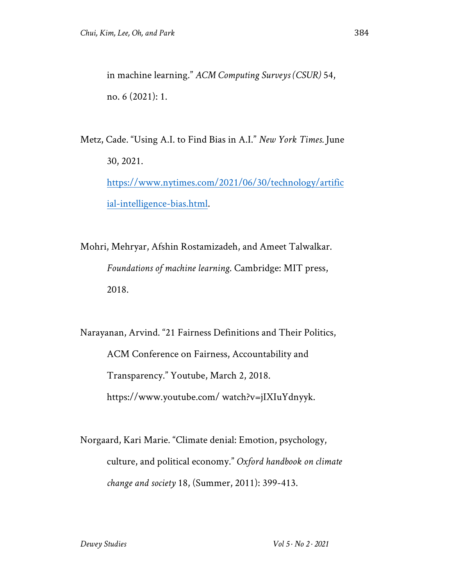in machine learning." *ACM Computing Surveys (CSUR)* 54, no. 6 (2021): 1.

Metz, Cade. "Using A.I. to Find Bias in A.I." *New York Times.* June 30, 2021. https://www.nytimes.com/2021/06/30/technology/artific ial-intelligence-bias.html.

Mohri, Mehryar, Afshin Rostamizadeh, and Ameet Talwalkar. *Foundations of machine learning*. Cambridge: MIT press, 2018.

Narayanan, Arvind. "21 Fairness Definitions and Their Politics, ACM Conference on Fairness, Accountability and Transparency." Youtube, March 2, 2018. https://www.youtube.com/ watch?v=jIXIuYdnyyk.

Norgaard, Kari Marie. "Climate denial: Emotion, psychology, culture, and political economy." *Oxford handbook on climate change and society* 18, (Summer, 2011): 399-413.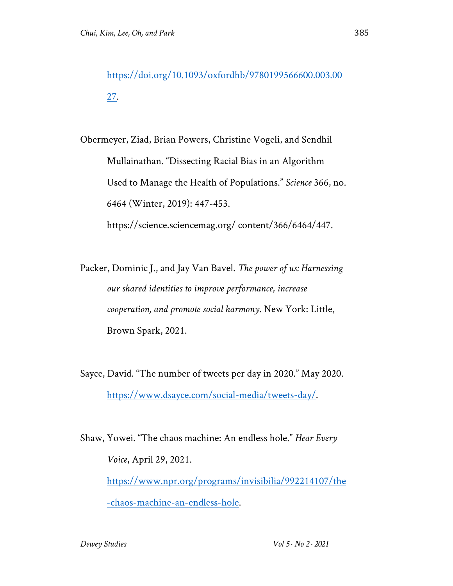https://doi.org/10.1093/oxfordhb/9780199566600.003.00 27.

Obermeyer, Ziad, Brian Powers, Christine Vogeli, and Sendhil Mullainathan. "Dissecting Racial Bias in an Algorithm Used to Manage the Health of Populations." *Science* 366, no. 6464 (Winter, 2019): 447-453. https://science.sciencemag.org/ content/366/6464/447.

Packer, Dominic J., and Jay Van Bavel. *The power of us: Harnessing our shared identities to improve performance, increase cooperation, and promote social harmony*. New York: Little, Brown Spark, 2021.

Sayce, David. "The number of tweets per day in 2020." May 2020. https://www.dsayce.com/social-media/tweets-day/.

Shaw, Yowei. "The chaos machine: An endless hole." *Hear Every Voice*, April 29, 2021. https://www.npr.org/programs/invisibilia/992214107/the -chaos-machine-an-endless-hole.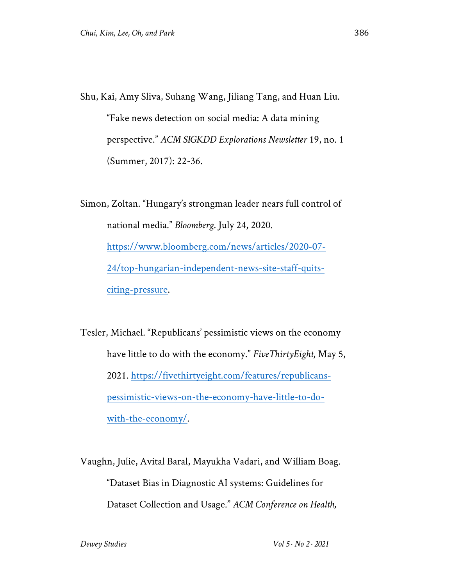Shu, Kai, Amy Sliva, Suhang Wang, Jiliang Tang, and Huan Liu. "Fake news detection on social media: A data mining perspective." *ACM SIGKDD Explorations Newsletter* 19, no. 1 (Summer, 2017): 22-36.

Simon, Zoltan. "Hungary's strongman leader nears full control of national media." *Bloomberg*. July 24, 2020. https://www.bloomberg.com/news/articles/2020-07- 24/top-hungarian-independent-news-site-staff-quitsciting-pressure.

Tesler, Michael. "Republicans' pessimistic views on the economy have little to do with the economy." *FiveThirtyEight*, May 5, 2021. https://fivethirtyeight.com/features/republicanspessimistic-views-on-the-economy-have-little-to-dowith-the-economy/.

Vaughn, Julie, Avital Baral, Mayukha Vadari, and William Boag. "Dataset Bias in Diagnostic AI systems: Guidelines for Dataset Collection and Usage." *ACM Conference on Health,*